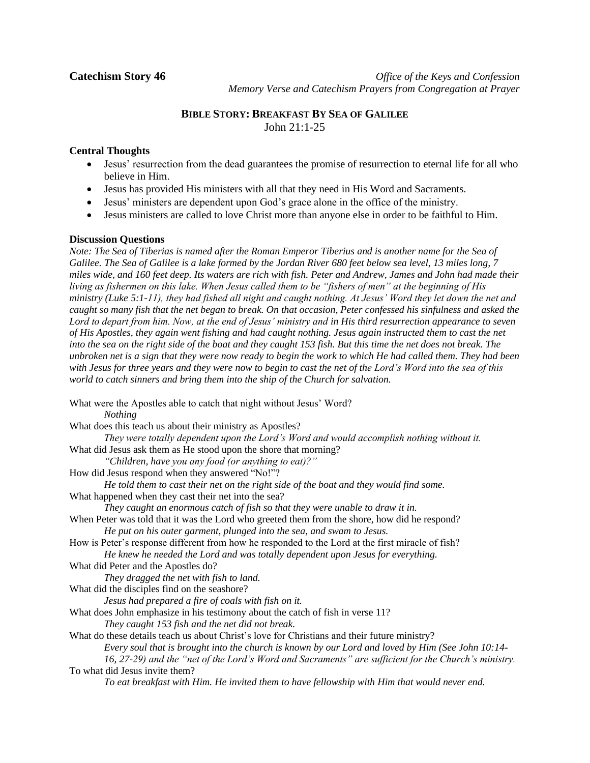**Catechism Story 46** *Office of the Keys and Confession* *Memory Verse and Catechism Prayers from Congregation at Prayer*

# **BIBLE STORY: BREAKFAST BY SEA OF GALILEE** John 21:1-25

# **Central Thoughts**

- Jesus' resurrection from the dead guarantees the promise of resurrection to eternal life for all who believe in Him.
- Jesus has provided His ministers with all that they need in His Word and Sacraments.
- Jesus' ministers are dependent upon God's grace alone in the office of the ministry.
- Jesus ministers are called to love Christ more than anyone else in order to be faithful to Him.

## **Discussion Questions**

*Note: The Sea of Tiberias is named after the Roman Emperor Tiberius and is another name for the Sea of Galilee. The Sea of Galilee is a lake formed by the Jordan River 680 feet below sea level, 13 miles long, 7 miles wide, and 160 feet deep. Its waters are rich with fish. Peter and Andrew, James and John had made their living as fishermen on this lake. When Jesus called them to be "fishers of men" at the beginning of His ministry (Luke 5:1-11), they had fished all night and caught nothing. At Jesus' Word they let down the net and caught so many fish that the net began to break. On that occasion, Peter confessed his sinfulness and asked the Lord to depart from him. Now, at the end of Jesus' ministry and in His third resurrection appearance to seven of His Apostles, they again went fishing and had caught nothing. Jesus again instructed them to cast the net into the sea on the right side of the boat and they caught 153 fish. But this time the net does not break. The unbroken net is a sign that they were now ready to begin the work to which He had called them. They had been with Jesus for three years and they were now to begin to cast the net of the Lord's Word into the sea of this world to catch sinners and bring them into the ship of the Church for salvation.*

What were the Apostles able to catch that night without Jesus' Word? *Nothing* What does this teach us about their ministry as Apostles? *They were totally dependent upon the Lord's Word and would accomplish nothing without it.* What did Jesus ask them as He stood upon the shore that morning? *"Children, have you any food (or anything to eat)?"* How did Jesus respond when they answered "No!"? *He told them to cast their net on the right side of the boat and they would find some.* What happened when they cast their net into the sea? *They caught an enormous catch of fish so that they were unable to draw it in.* When Peter was told that it was the Lord who greeted them from the shore, how did he respond? *He put on his outer garment, plunged into the sea, and swam to Jesus.* How is Peter's response different from how he responded to the Lord at the first miracle of fish? *He knew he needed the Lord and was totally dependent upon Jesus for everything.* What did Peter and the Apostles do? *They dragged the net with fish to land.* What did the disciples find on the seashore? *Jesus had prepared a fire of coals with fish on it.* What does John emphasize in his testimony about the catch of fish in verse 11? *They caught 153 fish and the net did not break.* What do these details teach us about Christ's love for Christians and their future ministry? *Every soul that is brought into the church is known by our Lord and loved by Him (See John 10:14- 16, 27-29) and the "net of the Lord's Word and Sacraments" are sufficient for the Church's ministry.* To what did Jesus invite them? *To eat breakfast with Him. He invited them to have fellowship with Him that would never end.*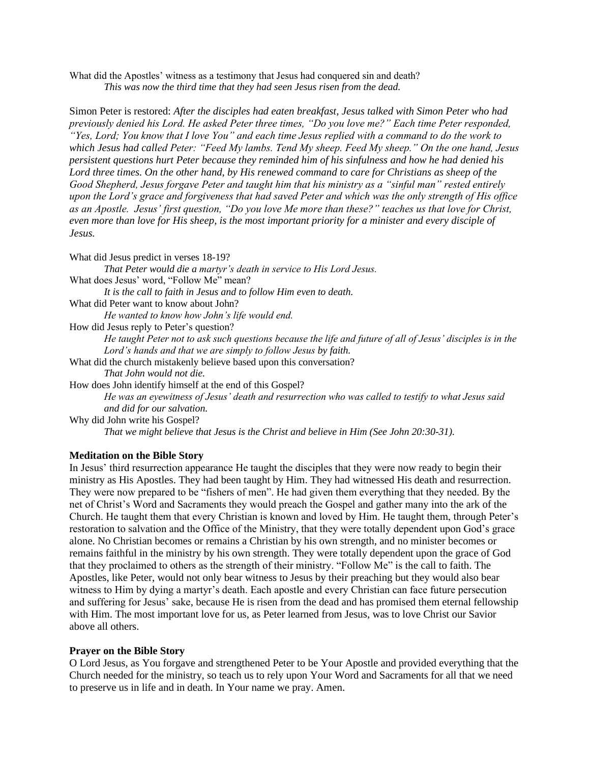What did the Apostles' witness as a testimony that Jesus had conquered sin and death? *This was now the third time that they had seen Jesus risen from the dead.*

Simon Peter is restored: *After the disciples had eaten breakfast, Jesus talked with Simon Peter who had previously denied his Lord. He asked Peter three times, "Do you love me?" Each time Peter responded, "Yes, Lord; You know that I love You" and each time Jesus replied with a command to do the work to which Jesus had called Peter: "Feed My lambs. Tend My sheep. Feed My sheep." On the one hand, Jesus persistent questions hurt Peter because they reminded him of his sinfulness and how he had denied his Lord three times. On the other hand, by His renewed command to care for Christians as sheep of the Good Shepherd, Jesus forgave Peter and taught him that his ministry as a "sinful man" rested entirely upon the Lord's grace and forgiveness that had saved Peter and which was the only strength of His office as an Apostle. Jesus' first question, "Do you love Me more than these?" teaches us that love for Christ, even more than love for His sheep, is the most important priority for a minister and every disciple of Jesus.*

What did Jesus predict in verses 18-19? *That Peter would die a martyr's death in service to His Lord Jesus.* What does Jesus' word, "Follow Me" mean? *It is the call to faith in Jesus and to follow Him even to death.* What did Peter want to know about John? *He wanted to know how John's life would end.* How did Jesus reply to Peter's question? *He taught Peter not to ask such questions because the life and future of all of Jesus' disciples is in the Lord's hands and that we are simply to follow Jesus by faith.* What did the church mistakenly believe based upon this conversation? *That John would not die.* How does John identify himself at the end of this Gospel? *He was an eyewitness of Jesus' death and resurrection who was called to testify to what Jesus said and did for our salvation.* Why did John write his Gospel? *That we might believe that Jesus is the Christ and believe in Him (See John 20:30-31).*

## **Meditation on the Bible Story**

In Jesus' third resurrection appearance He taught the disciples that they were now ready to begin their ministry as His Apostles. They had been taught by Him. They had witnessed His death and resurrection. They were now prepared to be "fishers of men". He had given them everything that they needed. By the net of Christ's Word and Sacraments they would preach the Gospel and gather many into the ark of the Church. He taught them that every Christian is known and loved by Him. He taught them, through Peter's restoration to salvation and the Office of the Ministry, that they were totally dependent upon God's grace alone. No Christian becomes or remains a Christian by his own strength, and no minister becomes or remains faithful in the ministry by his own strength. They were totally dependent upon the grace of God that they proclaimed to others as the strength of their ministry. "Follow Me" is the call to faith. The Apostles, like Peter, would not only bear witness to Jesus by their preaching but they would also bear witness to Him by dying a martyr's death. Each apostle and every Christian can face future persecution and suffering for Jesus' sake, because He is risen from the dead and has promised them eternal fellowship with Him. The most important love for us, as Peter learned from Jesus, was to love Christ our Savior above all others.

### **Prayer on the Bible Story**

O Lord Jesus, as You forgave and strengthened Peter to be Your Apostle and provided everything that the Church needed for the ministry, so teach us to rely upon Your Word and Sacraments for all that we need to preserve us in life and in death. In Your name we pray. Amen.